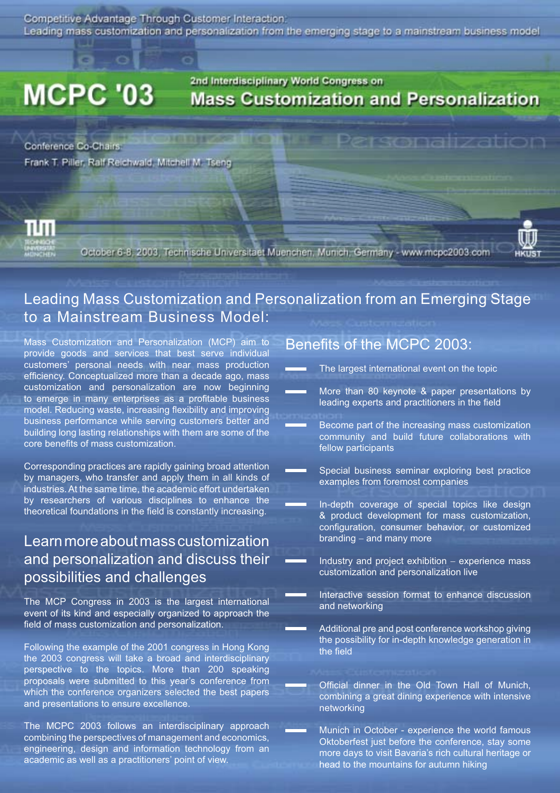Competitive Advantage Through Customer Interaction. Leading mass customization and personalization from the emerging stage to a mainstream business model

**NUMBER OF STREET** 

# **MCPC '03**

# 2nd Interdisciplinary World Congress on **Mass Customization and Personalization**

Conference Co-Chairs Frank T. Piller, Ralf Reichwald, Mitchell M. Tseng



October 6-8, 2003, Technische Universitaet Muenchen, Munich, Germany - www.mcpc2003.com



# Leading Mass Customization and Personalization from an Emerging Stage to a Mainstream Business Model:

Mass Customization and Personalization (MCP) aim to provide goods and services that best serve individual customers' personal needs with near mass production efficiency. Conceptualized more than a decade ago, mass customization and personalization are now beginning to emerge in many enterprises as a profitable business model. Reducing waste, increasing flexibility and improving business performance while serving customers better and building long lasting relationships with them are some of the core benefits of mass customization.

Corresponding practices are rapidly gaining broad attention by managers, who transfer and apply them in all kinds of industries. At the same time, the academic effort undertaken by researchers of various disciplines to enhance the theoretical foundations in the field is constantly increasing.

# Learn more about mass customization and personalization and discuss their possibilities and challenges

The MCP Congress in 2003 is the largest international event of its kind and especially organized to approach the field of mass customization and personalization.

Following the example of the 2001 congress in Hong Kong the 2003 congress will take a broad and interdisciplinary perspective to the topics. More than 200 speaking proposals were submitted to this year's conference from which the conference organizers selected the best papers and presentations to ensure excellence.

The MCPC 2003 follows an interdisciplinary approach combining the perspectives of management and economics, engineering, design and information technology from an academic as well as a practitioners' point of view.

# Benefits of the MCPC 2003:

- The largest international event on the topic
- More than 80 keynote & paper presentations by leading experts and practitioners in the field

Personalization

- Become part of the increasing mass customization community and build future collaborations with fellow participants
- Special business seminar exploring best practice examples from foremost companies
	- In-depth coverage of special topics like design & product development for mass customization, configuration, consumer behavior, or customized branding – and many more
	- Industry and project exhibition − experience mass customization and personalization live
	- Interactive session format to enhance discussion and networking
	- Additional pre and post conference workshop giving the possibility for in-depth knowledge generation in the field

- Official dinner in the Old Town Hall of Munich, combining a great dining experience with intensive networking
- Munich in October experience the world famous Oktoberfest just before the conference, stay some more days to visit Bavaria's rich cultural heritage or head to the mountains for autumn hiking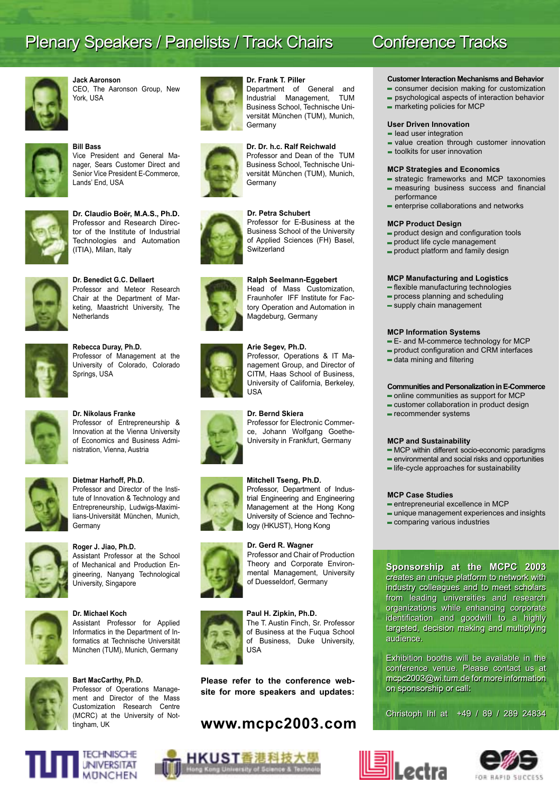# Plenary Speakers / Panelists / Track Chairs

**Jack Aaronson** CEO, The Aaronson Group, New York, USA



# **Bill Bass**

Vice President and General Manager, Sears Customer Direct and Senior Vice President E-Commerce, Lands' End, USA



#### **Dr. Claudio Boër, M.A.S., Ph.D.**  Professor and Research Director of the Institute of Industrial Technologies and Automation (ITIA), Milan, Italy



**Dr. Benedict G.C. Dellaert**  Professor and Meteor Research Chair at the Department of Marketing, Maastricht University, The **Netherlands** 



**Rebecca Duray, Ph.D.**  Professor of Management at the University of Colorado, Colorado Springs, USA



#### Innovation at the Vienna University of Economics and Business Administration, Vienna, Austria

Professor of Entrepreneurship &



#### **Dietmar Harhoff, Ph.D.**

**Dr. Nikolaus Franke**

Professor and Director of the Institute of Innovation & Technology and Entrepreneurship, Ludwigs-Maximilians-Universität München, Munich, Germany



#### **Roger J. Jiao, Ph.D.**

Assistant Professor at the School of Mechanical and Production Engineering, Nanyang Technological University, Singapore



#### **Dr. Michael Koch**

Assistant Professor for Applied Informatics in the Department of Informatics at Technische Universität München (TUM), Munich, Germany



#### **Bart MacCarthy, Ph.D.** Professor of Operations Management and Director of the Mass Customization Research Centre

(MCRC) at the University of Nottingham, UK



#### **Dr. Frank T. Piller**

Department of General and Industrial Management, TUM Business School, Technische Universität München (TUM), Munich, **Germany** 

#### **Dr. Dr. h.c. Ralf Reichwald**

Professor and Dean of the TUM Business School, Technische Universität München (TUM), Munich, **Germany** 

#### **Dr. Petra Schubert**

Professor for E-Business at the Business School of the University of Applied Sciences (FH) Basel, **Switzerland** 

#### **Ralph Seelmann-Eggebert**

Head of Mass Customization, Fraunhofer IFF Institute for Factory Operation and Automation in Magdeburg, Germany

#### **Arie Segev, Ph.D.** Professor, Operations & IT Ma-











trial Engineering and Engineering Management at the Hong Kong

Professor and Chair of Production Theory and Corporate Environmental Management, University of Duesseldorf, Germany

#### **Paul H. Zipkin, Ph.D.** The T. Austin Finch, Sr. Professor of Business at the Fuqua School of Business, Duke University, USA

**Please refer to the conference website for more speakers and updates:**

## **www.mcpc2003.com**

# Conference Tracks

#### **Customer Interaction Mechanisms and Behavior**

- consumer decision making for customization
- psychological aspects of interaction behavior
- $=$  marketing policies for MCP

#### **User Driven Innovation**

- **lead user integration**
- $=$  value creation through customer innovation
- $=$  toolkits for user innovation

#### **MCP Strategies and Economics**

- strategic frameworks and MCP taxonomies  $-$  measuring business success and financial performance
- enterprise collaborations and networks

#### **MCP Product Design**

- $=$  product design and configuration tools
- product life cycle management
- product platform and family design

#### **MCP Manufacturing and Logistics**

- $=$  flexible manufacturing technologies
- $=$  process planning and scheduling
- supply chain management

#### **MCP Information Systems**

- E- and M-commerce technology for MCP
- $=$  product configuration and CRM interfaces
- $=$  data mining and filtering

#### **Communities and Personalization in E-Commerce**

- online communities as support for MCP
- customer collaboration in product design
- recommender systems

#### **MCP and Sustainability**

- $MCP$  within different socio-economic paradigms
- environmental and social risks and opportunities
- life-cycle approaches for sustainability

#### **MCP Case Studies**

- entrepreneurial excellence in MCP
- unique management experiences and insights
- comparing various industries

#### **Sponsorship at the MCPC 2003 Sponsorship at the MCPC 2003**

creates an unique platform to network with creates an unique platform to network with industry colleagues and to meet scholars industry colleagues and to meet scholars from leading universities and research organizations while enhancing corporate identification and goodwill to a highly targeted, decision making and multiplying targeted, decision making and multiplying audience. audience. from leading universities and research organizations while enhancing corporate

Exhibition booths will be available in the Exhibition booths will be available in the conference venue. Please contact us at mcpc2003@wi.tum.de for more information mcpc2003@wi.tum.de for more information on sponsorship or call: on sponsorship or call:

Christoph Ihl at +49 / 89 / 289 24834 Christoph Ihl at +49 / 89 / 289 24834









**Mitchell Tseng, Ph.D.** Professor, Department of Indus-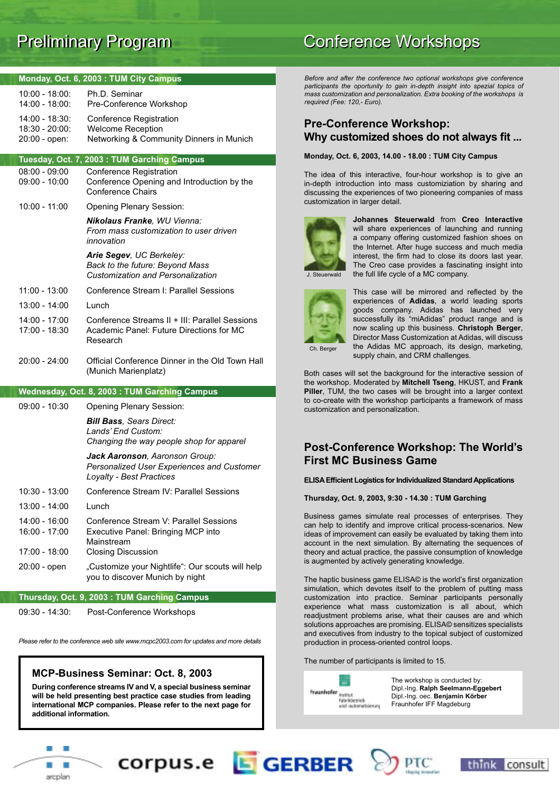| Monday, Oct. 6, 2003: TUM City Campus             |                                                                                                                         |  |  |  |
|---------------------------------------------------|-------------------------------------------------------------------------------------------------------------------------|--|--|--|
| $10:00 - 18:00$ :<br>$14:00 - 18:00$ :            | Ph.D. Seminar<br>Pre-Conference Workshop                                                                                |  |  |  |
| 14:00 - 18:30:<br>18:30 - 20:00:<br>20:00 - open: | Conference Registration<br><b>Welcome Reception</b><br>Networking & Community Dinners in Munich                         |  |  |  |
|                                                   |                                                                                                                         |  |  |  |
| $08:00 - 09:00$                                   | Tuesday, Oct. 7, 2003: TUM Garching Campus                                                                              |  |  |  |
| $09:00 - 10:00$                                   | <b>Conference Registration</b><br>Conference Opening and Introduction by the<br><b>Conference Chairs</b>                |  |  |  |
| 10:00 - 11:00                                     | <b>Opening Plenary Session:</b>                                                                                         |  |  |  |
|                                                   | Nikolaus Franke, WU Vienna:<br>From mass customization to user driven<br>innovation                                     |  |  |  |
|                                                   | Arie Segev, UC Berkeley:<br>Back to the future: Beyond Mass<br><b>Customization and Personalization</b>                 |  |  |  |
| 11:00 - 13:00                                     | Conference Stream I: Parallel Sessions                                                                                  |  |  |  |
| 13:00 - 14:00                                     | Lunch                                                                                                                   |  |  |  |
| $14:00 - 17:00$<br>17:00 - 18:30                  | Conference Streams II + III: Parallel Sessions<br>Academic Panel: Future Directions for MC<br>Research                  |  |  |  |
| 20:00 - 24:00                                     | Official Conference Dinner in the Old Town Hall<br>(Munich Marienplatz)                                                 |  |  |  |
| Wednesday, Oct. 8, 2003: TUM Garching Campus      |                                                                                                                         |  |  |  |
| 09:00 - 10:30                                     | <b>Opening Plenary Session:</b>                                                                                         |  |  |  |
|                                                   | <b>Bill Bass</b> , Sears Direct:<br>Lands' End Custom:<br>Changing the way people shop for apparel                      |  |  |  |
|                                                   | Jack Aaronson, Aaronson Group:<br>Personalized User Experiences and Customer<br>Loyalty - Best Practices                |  |  |  |
| 10:30 - 13:00                                     | Conference Stream IV: Parallel Sessions                                                                                 |  |  |  |
| 13:00 - 14:00                                     | Lunch                                                                                                                   |  |  |  |
| 14:00 - 16:00<br>16:00 - 17:00<br>17:00 - 18:00   | Conference Stream V: Parallel Sessions<br>Executive Panel: Bringing MCP into<br>Mainstream<br><b>Closing Discussion</b> |  |  |  |
| 20:00 - open                                      | "Customize your Nightlife": Our scouts will help<br>you to discover Munich by night                                     |  |  |  |
|                                                   | Thursday, Oct. 9, 2003: TUM Garching Campus                                                                             |  |  |  |

09:30 - 14:30: Post-Conference Workshops

*Please refer to the conference web site www.mcpc2003.com for updates and more details*

#### **MCP-Business Seminar: Oct. 8, 2003**

**During conference streams IV and V, a special business seminar will be held presenting best practice case studies from leading international MCP companies. Please refer to the next page for additional information.**

corpus.e **E**GERBER

# Preliminary Program **Preliminary Program** Conference Workshops

*Before and after the conference two optional workshops give conference participants the oportunity to gain in-depth insight into spezial topics of mass customization and personalization. Extra booking of the workshops is required (Fee: 120,- Euro).*

### **Pre-Conference Workshop: Why customized shoes do not always fit ...**

#### **Monday, Oct. 6, 2003, 14.00 - 18.00 : TUM City Campus**

The idea of this interactive, four-hour workshop is to give an in-depth introduction into mass customiziation by sharing and discussing the experiences of two pioneering companies of mass customization in larger detail.



**Johannes Steuerwald** from **Creo Interactive** will share experiences of launching and running a company offering customized fashion shoes on the Internet. After huge success and much media interest, the firm had to close its doors last year. The Creo case provides a fascinating insight into the full life cycle of a MC company.

J. Steuerwald



This case will be mirrored and reflected by the experiences of **Adidas**, a world leading sports goods company. Adidas has launched very successfully its "miAdidas" product range and is now scaling up this business. **Christoph Berger**, Director Mass Customization at Adidas, will discuss the Adidas MC approach, its design, marketing, supply chain, and CRM challenges.

Both cases will set the background for the interactive session of the workshop. Moderated by **Mitchell Tseng**, HKUST, and **Frank Piller**, TUM, the two cases will be brought into a larger context to co-create with the workshop participants a framework of mass customization and personalization.

#### **Post-Conference Workshop: The World's First MC Business Game**

#### **ELISA Efficient Logistics for Individualized Standard Applications**

**Thursday, Oct. 9, 2003, 9:30 - 14.30 : TUM Garching**

Business games simulate real processes of enterprises. They can help to identify and improve critical process-scenarios. New ideas of improvement can easily be evaluated by taking them into account in the next simulation. By alternating the sequences of theory and actual practice, the passive consumption of knowledge is augmented by actively generating knowledge.

The haptic business game ELISA© is the world's first organization simulation, which devotes itself to the problem of putting mass customization into practice. Seminar participants personally experience what mass customization is all about, which readjustment problems arise, what their causes are and which solutions approaches are promising. ELISA© sensitizes specialists and executives from industry to the topical subject of customized production in process-oriented control loops.

#### The number of participants is limited to 15.



The workshop is conducted by: Dipl.-Ing. **Ralph Seelmann-Eggebert** Dipl.-Ing. oec. **Benjamin Körber** Fraunhofer IFF Magdeburg



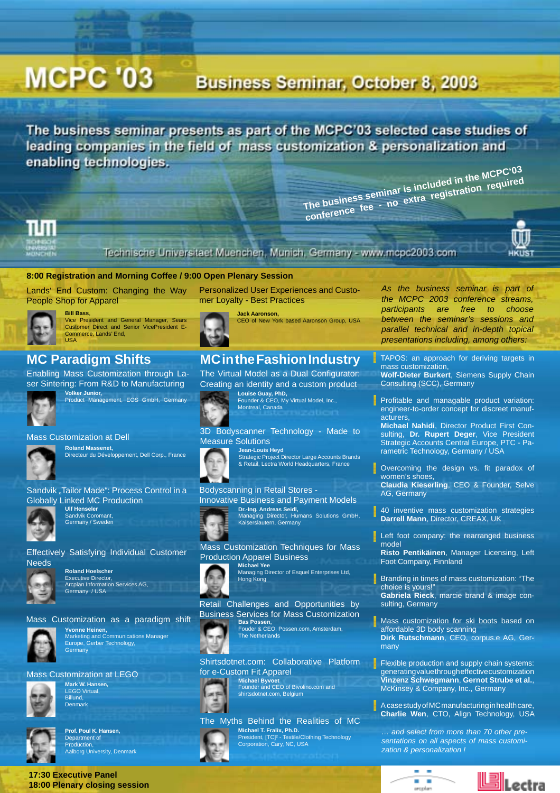# **MCPC '03**

# **Business Seminar, October 8, 2003**

The business seminar presents as part of the MCPC'03 selected case studies of leading companies in the field of mass customization & personalization and enabling technologies.

**The business seminar is included in the MCPC'03 conference fee - no extra registration required**



Technische Universitaet Muenchen, Munich, Germany - www.mcpc2003.com



Lands' End Custom: Changing the Way People Shop for Apparel



#### Vice President and General Manager, Sears Customer Direct and Senior VicePresident E-Commerce, Lands' End, **USA**

# **MC Paradigm Shifts**

Enabling Mass Customization through Laser Sintering: From R&D to Manufacturing



**Volker Junior,**  Product Management, EOS GmbH, Germany

#### Mass Customization at Dell

**Bill Bass**,



**Roland Massenet,**  Directeur du Développement, Dell Corp., France

#### Sandvik "Tailor Made": Process Control in a Globally Linked MC Production



**Ulf Henseler**  Sandvik Coromant Germany / Sweden





**Roland Hoelscher** Executive Director, Arcplan Information Services AG, Germany / USA





# **Yvonne Heinen,** Marketing and Communications Manager Europe, Gerber Technology, **Germany**

#### Mass Customization at LEGO



**Mark W. Hansen, LEGO Virtual** Billund, Denmark



**Prof. Poul K. Hansen,**  Department of Production, Aalborg University, Denmark

**17:30 Executive Panel 18:00 Plenary closing session**





**Jack Aaronson,**  CEO of New York based Aaronson Group, USA

## **MC in the Fashion Industry**

The Virtual Model as a Dual Configurator: Creating an identity and a custom product



**Louise Guay, PhD,**  Founder & CEO, My Virtual Model, Inc., Montreal, Canada

#### 3D Bodyscanner Technology - Made to Measure Solutions

**Jean-Louis Heyd**<br>Strategic Project Director Large Accounts Brands<br>& Retail, Lectra World Headquarters, France

Bodyscanning in Retail Stores -

# Innovative Business and Payment Models

**Dr.-Ing. Andreas Seidl,**<br>Managing Director, Humans Solutions GmbH,<br>Kaiserslautern, Germany

Mass Customization Techniques for Mass Production Apparel Business



Retail Challenges and Opportunities by **Michael Yee**<br>Managing Director of Esquel Enterprises Ltd,<br>Hong Kong

The Netherlands Business Services for Mass Customization



**Bas Possen,** Fouder & CEO, Possen.com, Amsterdam,



**Michael Byvoet** Founder and CEO of Bivolino.com and shirtsdotnet.com, Belgium



*As the business seminar is part of the MCPC 2003 conference streams, participants are free to choose between the seminar's sessions and parallel technical and in-depth topical presentations including, among others:*

TAPOS: an approach for deriving targets in mass customization,

**Wolf-Dieter Burkert**, Siemens Supply Chain Consulting (SCC), Germany

 $\blacksquare$  Profitable and managable product variation: engineer-to-order concept for discreet manufacturers,

**Michael Nahidi**, Director Product First Consulting, **Dr. Rupert Deger**, Vice President Strategic Accounts Central Europe, PTC - Parametric Technology, Germany / USA

Overcoming the design vs. fit paradox of women's shoes,

**Claudia Kieserling**, CEO & Founder, Selve AG, Germany

40 inventive mass customization strategies **Darrell Mann**, Director, CREAX, UK

Left foot company: the rearranged business model

**Risto Pentikäinen**, Manager Licensing, Left Foot Company, Finnland

Branding in times of mass customization: "The choice is yours!" **Gabriela Rieck**, marcie brand & image consulting, Germany

Mass customization for ski boots based on affordable 3D body scanning **Dirk Rutschmann**, CEO, corpus.e AG, Germany

 $\blacksquare$  Flexible production and supply chain systems: generating value through effective customization **Vinzenz Schwegmann**, **Gernot Strube et al.**, McKinsey & Company, Inc., Germany

A case study of MC manufacturing in health care, **Charlie Wen**, CTO, Align Technology, USA

*… and select from more than 70 other presentations on all aspects of mass customization & personalization !*